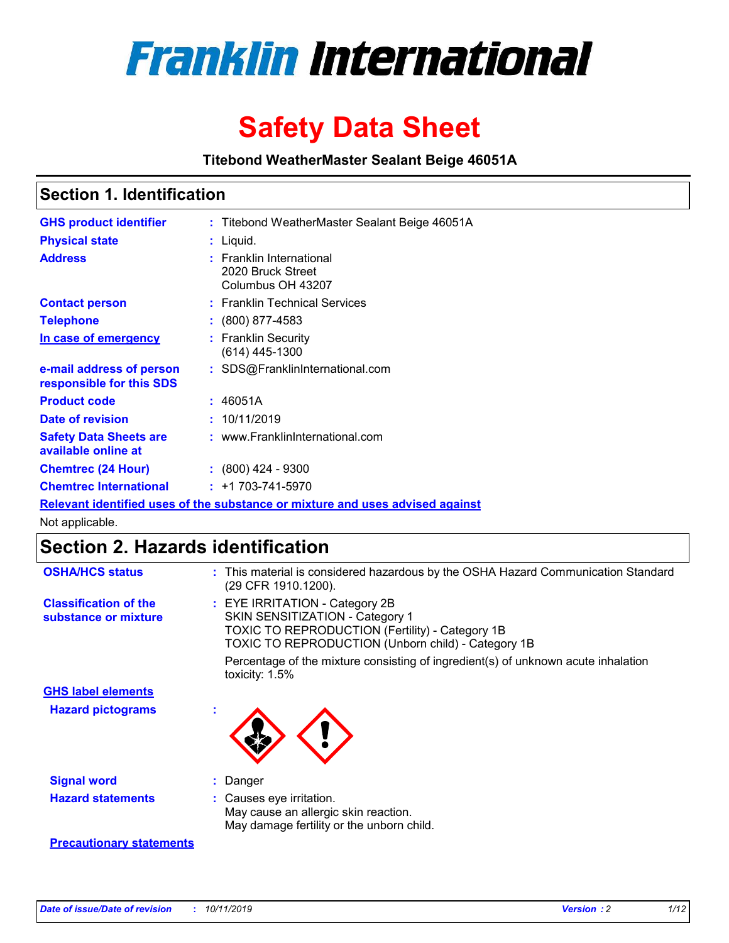

# **Safety Data Sheet**

**Titebond WeatherMaster Sealant Beige 46051A**

## **Section 1. Identification**

| <b>GHS product identifier</b>                        | : Titebond WeatherMaster Sealant Beige 46051A                                 |
|------------------------------------------------------|-------------------------------------------------------------------------------|
| <b>Physical state</b>                                | : Liquid.                                                                     |
| <b>Address</b>                                       | : Franklin International<br>2020 Bruck Street<br>Columbus OH 43207            |
| <b>Contact person</b>                                | : Franklin Technical Services                                                 |
| <b>Telephone</b>                                     | $\colon$ (800) 877-4583                                                       |
| In case of emergency                                 | : Franklin Security<br>(614) 445-1300                                         |
| e-mail address of person<br>responsible for this SDS | : SDS@FranklinInternational.com                                               |
| <b>Product code</b>                                  | : 46051A                                                                      |
| Date of revision                                     | : 10/11/2019                                                                  |
| <b>Safety Data Sheets are</b><br>available online at | : www.FranklinInternational.com                                               |
| <b>Chemtrec (24 Hour)</b>                            | $\div$ (800) 424 - 9300                                                       |
| <b>Chemtrec International</b>                        | $: +1703 - 741 - 5970$                                                        |
|                                                      | Relevant identified uses of the substance or mixture and uses advised against |

Not applicable.

# **Section 2. Hazards identification**

| <b>OSHA/HCS status</b>                               | : This material is considered hazardous by the OSHA Hazard Communication Standard<br>(29 CFR 1910.1200).                                                                                 |
|------------------------------------------------------|------------------------------------------------------------------------------------------------------------------------------------------------------------------------------------------|
| <b>Classification of the</b><br>substance or mixture | : EYE IRRITATION - Category 2B<br>SKIN SENSITIZATION - Category 1<br><b>TOXIC TO REPRODUCTION (Fertility) - Category 1B</b><br><b>TOXIC TO REPRODUCTION (Unborn child) - Category 1B</b> |
|                                                      | Percentage of the mixture consisting of ingredient(s) of unknown acute inhalation<br>toxicity: $1.5\%$                                                                                   |
| <b>GHS label elements</b>                            |                                                                                                                                                                                          |
| <b>Hazard pictograms</b>                             |                                                                                                                                                                                          |
| <b>Signal word</b>                                   | : Danger                                                                                                                                                                                 |
| <b>Hazard statements</b>                             | : Causes eye irritation.<br>May cause an allergic skin reaction.<br>May damage fertility or the unborn child.                                                                            |
| <b>Precautionary statements</b>                      |                                                                                                                                                                                          |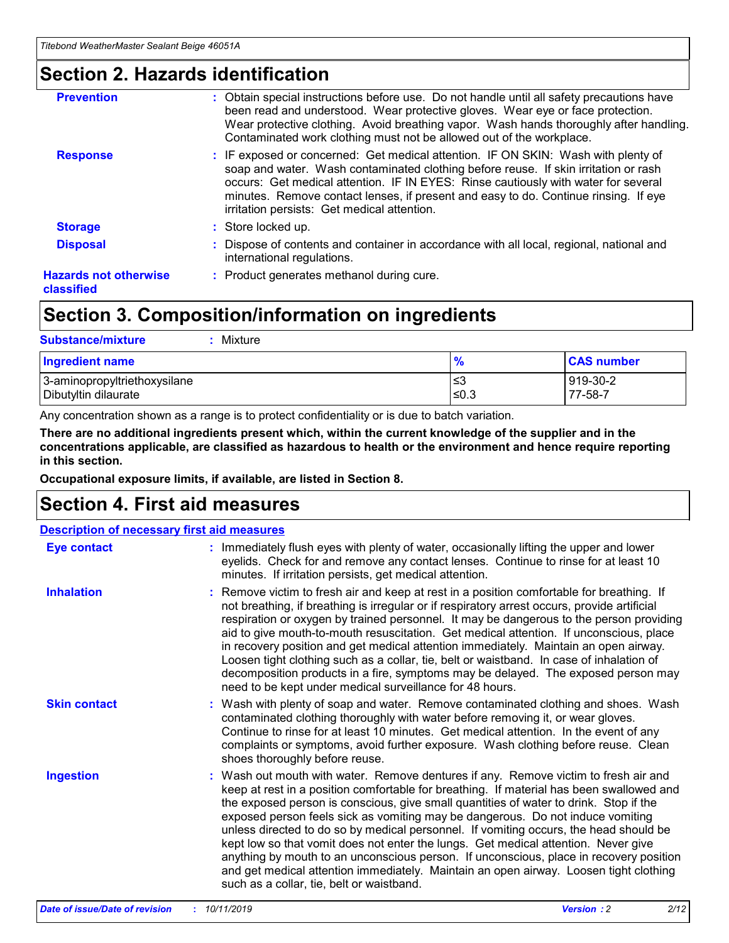## **Section 2. Hazards identification**

| <b>Prevention</b>                          | : Obtain special instructions before use. Do not handle until all safety precautions have<br>been read and understood. Wear protective gloves. Wear eye or face protection.<br>Wear protective clothing. Avoid breathing vapor. Wash hands thoroughly after handling.<br>Contaminated work clothing must not be allowed out of the workplace.                                                        |
|--------------------------------------------|------------------------------------------------------------------------------------------------------------------------------------------------------------------------------------------------------------------------------------------------------------------------------------------------------------------------------------------------------------------------------------------------------|
| <b>Response</b>                            | : IF exposed or concerned: Get medical attention. IF ON SKIN: Wash with plenty of<br>soap and water. Wash contaminated clothing before reuse. If skin irritation or rash<br>occurs: Get medical attention. IF IN EYES: Rinse cautiously with water for several<br>minutes. Remove contact lenses, if present and easy to do. Continue rinsing. If eye<br>irritation persists: Get medical attention. |
| <b>Storage</b>                             | : Store locked up.                                                                                                                                                                                                                                                                                                                                                                                   |
| <b>Disposal</b>                            | : Dispose of contents and container in accordance with all local, regional, national and<br>international regulations.                                                                                                                                                                                                                                                                               |
| <b>Hazards not otherwise</b><br>classified | : Product generates methanol during cure.                                                                                                                                                                                                                                                                                                                                                            |
|                                            |                                                                                                                                                                                                                                                                                                                                                                                                      |

# **Section 3. Composition/information on ingredients**

| <b>Substance/mixture</b><br>Mixture                  |                   |                     |
|------------------------------------------------------|-------------------|---------------------|
| <b>Ingredient name</b>                               | $\frac{9}{6}$     | <b>CAS number</b>   |
| 3-aminopropyltriethoxysilane<br>Dibutyltin dilaurate | l≤3<br>$\leq 0.3$ | 919-30-2<br>77-58-7 |

Any concentration shown as a range is to protect confidentiality or is due to batch variation.

**There are no additional ingredients present which, within the current knowledge of the supplier and in the concentrations applicable, are classified as hazardous to health or the environment and hence require reporting in this section.**

**Occupational exposure limits, if available, are listed in Section 8.**

# **Section 4. First aid measures**

| <b>Description of necessary first aid measures</b> |                                                                                                                                                                                                                                                                                                                                                                                                                                                                                                                                                                                                                                                                                                                                                                           |  |  |  |
|----------------------------------------------------|---------------------------------------------------------------------------------------------------------------------------------------------------------------------------------------------------------------------------------------------------------------------------------------------------------------------------------------------------------------------------------------------------------------------------------------------------------------------------------------------------------------------------------------------------------------------------------------------------------------------------------------------------------------------------------------------------------------------------------------------------------------------------|--|--|--|
| <b>Eye contact</b>                                 | : Immediately flush eyes with plenty of water, occasionally lifting the upper and lower<br>eyelids. Check for and remove any contact lenses. Continue to rinse for at least 10<br>minutes. If irritation persists, get medical attention.                                                                                                                                                                                                                                                                                                                                                                                                                                                                                                                                 |  |  |  |
| <b>Inhalation</b>                                  | : Remove victim to fresh air and keep at rest in a position comfortable for breathing. If<br>not breathing, if breathing is irregular or if respiratory arrest occurs, provide artificial<br>respiration or oxygen by trained personnel. It may be dangerous to the person providing<br>aid to give mouth-to-mouth resuscitation. Get medical attention. If unconscious, place<br>in recovery position and get medical attention immediately. Maintain an open airway.<br>Loosen tight clothing such as a collar, tie, belt or waistband. In case of inhalation of<br>decomposition products in a fire, symptoms may be delayed. The exposed person may<br>need to be kept under medical surveillance for 48 hours.                                                       |  |  |  |
| <b>Skin contact</b>                                | : Wash with plenty of soap and water. Remove contaminated clothing and shoes. Wash<br>contaminated clothing thoroughly with water before removing it, or wear gloves.<br>Continue to rinse for at least 10 minutes. Get medical attention. In the event of any<br>complaints or symptoms, avoid further exposure. Wash clothing before reuse. Clean<br>shoes thoroughly before reuse.                                                                                                                                                                                                                                                                                                                                                                                     |  |  |  |
| <b>Ingestion</b>                                   | : Wash out mouth with water. Remove dentures if any. Remove victim to fresh air and<br>keep at rest in a position comfortable for breathing. If material has been swallowed and<br>the exposed person is conscious, give small quantities of water to drink. Stop if the<br>exposed person feels sick as vomiting may be dangerous. Do not induce vomiting<br>unless directed to do so by medical personnel. If vomiting occurs, the head should be<br>kept low so that vomit does not enter the lungs. Get medical attention. Never give<br>anything by mouth to an unconscious person. If unconscious, place in recovery position<br>and get medical attention immediately. Maintain an open airway. Loosen tight clothing<br>such as a collar, tie, belt or waistband. |  |  |  |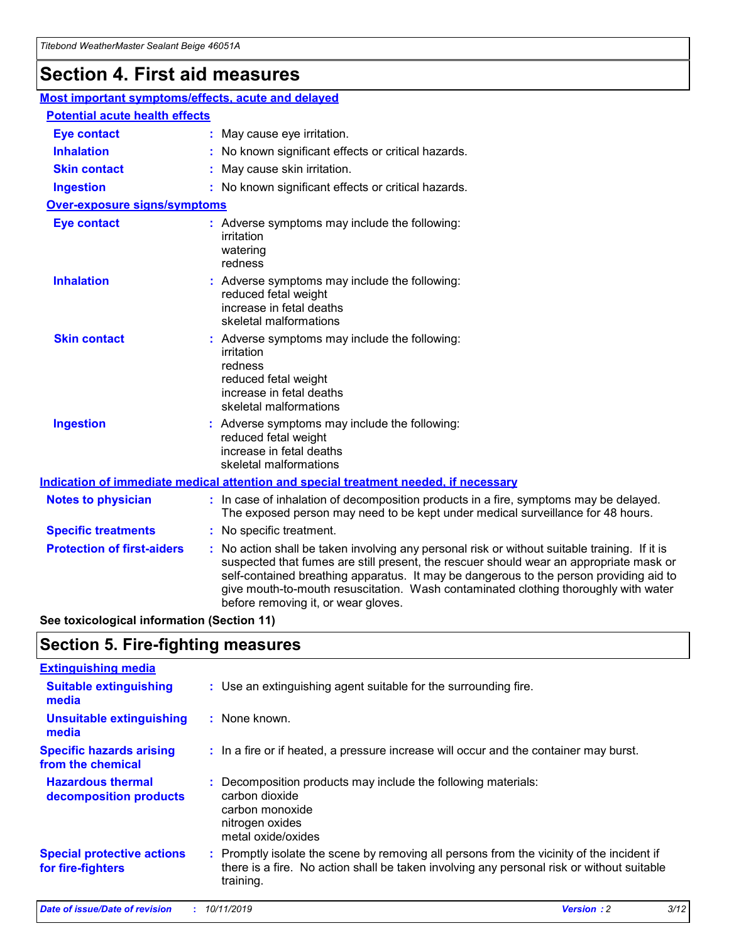# **Section 4. First aid measures**

| Most important symptoms/effects, acute and delayed |                                       |                                                                                                                                                                                                                                                                                                                                                                                                                 |  |  |  |
|----------------------------------------------------|---------------------------------------|-----------------------------------------------------------------------------------------------------------------------------------------------------------------------------------------------------------------------------------------------------------------------------------------------------------------------------------------------------------------------------------------------------------------|--|--|--|
|                                                    | <b>Potential acute health effects</b> |                                                                                                                                                                                                                                                                                                                                                                                                                 |  |  |  |
| <b>Eye contact</b>                                 |                                       | : May cause eye irritation.                                                                                                                                                                                                                                                                                                                                                                                     |  |  |  |
| <b>Inhalation</b>                                  |                                       | : No known significant effects or critical hazards.                                                                                                                                                                                                                                                                                                                                                             |  |  |  |
| <b>Skin contact</b>                                |                                       | : May cause skin irritation.                                                                                                                                                                                                                                                                                                                                                                                    |  |  |  |
| <b>Ingestion</b>                                   |                                       | : No known significant effects or critical hazards.                                                                                                                                                                                                                                                                                                                                                             |  |  |  |
| Over-exposure signs/symptoms                       |                                       |                                                                                                                                                                                                                                                                                                                                                                                                                 |  |  |  |
| <b>Eye contact</b>                                 |                                       | : Adverse symptoms may include the following:<br>irritation<br>watering<br>redness                                                                                                                                                                                                                                                                                                                              |  |  |  |
| <b>Inhalation</b>                                  |                                       | : Adverse symptoms may include the following:<br>reduced fetal weight<br>increase in fetal deaths<br>skeletal malformations                                                                                                                                                                                                                                                                                     |  |  |  |
| <b>Skin contact</b>                                |                                       | : Adverse symptoms may include the following:<br>irritation<br>redness<br>reduced fetal weight<br>increase in fetal deaths<br>skeletal malformations                                                                                                                                                                                                                                                            |  |  |  |
| <b>Ingestion</b>                                   |                                       | : Adverse symptoms may include the following:<br>reduced fetal weight<br>increase in fetal deaths<br>skeletal malformations                                                                                                                                                                                                                                                                                     |  |  |  |
|                                                    |                                       | <b>Indication of immediate medical attention and special treatment needed, if necessary</b>                                                                                                                                                                                                                                                                                                                     |  |  |  |
| <b>Notes to physician</b>                          |                                       | : In case of inhalation of decomposition products in a fire, symptoms may be delayed.<br>The exposed person may need to be kept under medical surveillance for 48 hours.                                                                                                                                                                                                                                        |  |  |  |
| <b>Specific treatments</b>                         |                                       | : No specific treatment.                                                                                                                                                                                                                                                                                                                                                                                        |  |  |  |
| <b>Protection of first-aiders</b>                  |                                       | : No action shall be taken involving any personal risk or without suitable training. If it is<br>suspected that fumes are still present, the rescuer should wear an appropriate mask or<br>self-contained breathing apparatus. It may be dangerous to the person providing aid to<br>give mouth-to-mouth resuscitation. Wash contaminated clothing thoroughly with water<br>before removing it, or wear gloves. |  |  |  |

**See toxicological information (Section 11)**

## **Section 5. Fire-fighting measures**

| <b>Extinguishing media</b>                             |                                                                                                                                                                                                     |
|--------------------------------------------------------|-----------------------------------------------------------------------------------------------------------------------------------------------------------------------------------------------------|
| <b>Suitable extinguishing</b><br>media                 | : Use an extinguishing agent suitable for the surrounding fire.                                                                                                                                     |
| <b>Unsuitable extinguishing</b><br>media               | $:$ None known.                                                                                                                                                                                     |
| <b>Specific hazards arising</b><br>from the chemical   | : In a fire or if heated, a pressure increase will occur and the container may burst.                                                                                                               |
| <b>Hazardous thermal</b><br>decomposition products     | : Decomposition products may include the following materials:<br>carbon dioxide<br>carbon monoxide<br>nitrogen oxides<br>metal oxide/oxides                                                         |
| <b>Special protective actions</b><br>for fire-fighters | : Promptly isolate the scene by removing all persons from the vicinity of the incident if<br>there is a fire. No action shall be taken involving any personal risk or without suitable<br>training. |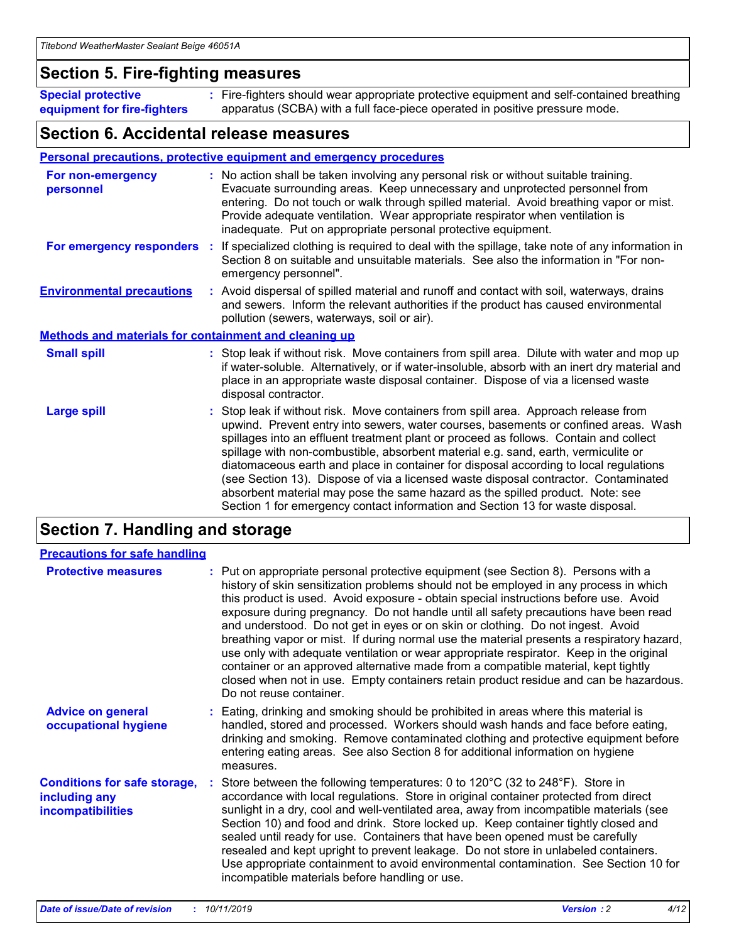## **Section 5. Fire-fighting measures**

**Special protective equipment for fire-fighters** Fire-fighters should wear appropriate protective equipment and self-contained breathing **:** apparatus (SCBA) with a full face-piece operated in positive pressure mode.

## **Section 6. Accidental release measures**

#### **Personal precautions, protective equipment and emergency procedures**

| For non-emergency<br>personnel                               | : No action shall be taken involving any personal risk or without suitable training.<br>Evacuate surrounding areas. Keep unnecessary and unprotected personnel from<br>entering. Do not touch or walk through spilled material. Avoid breathing vapor or mist.<br>Provide adequate ventilation. Wear appropriate respirator when ventilation is<br>inadequate. Put on appropriate personal protective equipment.                                                                                                                                                                                                                                                                                             |
|--------------------------------------------------------------|--------------------------------------------------------------------------------------------------------------------------------------------------------------------------------------------------------------------------------------------------------------------------------------------------------------------------------------------------------------------------------------------------------------------------------------------------------------------------------------------------------------------------------------------------------------------------------------------------------------------------------------------------------------------------------------------------------------|
|                                                              | For emergency responders : If specialized clothing is required to deal with the spillage, take note of any information in<br>Section 8 on suitable and unsuitable materials. See also the information in "For non-<br>emergency personnel".                                                                                                                                                                                                                                                                                                                                                                                                                                                                  |
| <b>Environmental precautions</b>                             | : Avoid dispersal of spilled material and runoff and contact with soil, waterways, drains<br>and sewers. Inform the relevant authorities if the product has caused environmental<br>pollution (sewers, waterways, soil or air).                                                                                                                                                                                                                                                                                                                                                                                                                                                                              |
| <b>Methods and materials for containment and cleaning up</b> |                                                                                                                                                                                                                                                                                                                                                                                                                                                                                                                                                                                                                                                                                                              |
| <b>Small spill</b>                                           | : Stop leak if without risk. Move containers from spill area. Dilute with water and mop up<br>if water-soluble. Alternatively, or if water-insoluble, absorb with an inert dry material and<br>place in an appropriate waste disposal container. Dispose of via a licensed waste<br>disposal contractor.                                                                                                                                                                                                                                                                                                                                                                                                     |
| <b>Large spill</b>                                           | : Stop leak if without risk. Move containers from spill area. Approach release from<br>upwind. Prevent entry into sewers, water courses, basements or confined areas. Wash<br>spillages into an effluent treatment plant or proceed as follows. Contain and collect<br>spillage with non-combustible, absorbent material e.g. sand, earth, vermiculite or<br>diatomaceous earth and place in container for disposal according to local regulations<br>(see Section 13). Dispose of via a licensed waste disposal contractor. Contaminated<br>absorbent material may pose the same hazard as the spilled product. Note: see<br>Section 1 for emergency contact information and Section 13 for waste disposal. |

# **Section 7. Handling and storage**

| <b>Precautions for safe handling</b>                                             |                                                                                                                                                                                                                                                                                                                                                                                                                                                                                                                                                                                                                                                                                                                                                                                                                                                  |
|----------------------------------------------------------------------------------|--------------------------------------------------------------------------------------------------------------------------------------------------------------------------------------------------------------------------------------------------------------------------------------------------------------------------------------------------------------------------------------------------------------------------------------------------------------------------------------------------------------------------------------------------------------------------------------------------------------------------------------------------------------------------------------------------------------------------------------------------------------------------------------------------------------------------------------------------|
| <b>Protective measures</b>                                                       | : Put on appropriate personal protective equipment (see Section 8). Persons with a<br>history of skin sensitization problems should not be employed in any process in which<br>this product is used. Avoid exposure - obtain special instructions before use. Avoid<br>exposure during pregnancy. Do not handle until all safety precautions have been read<br>and understood. Do not get in eyes or on skin or clothing. Do not ingest. Avoid<br>breathing vapor or mist. If during normal use the material presents a respiratory hazard,<br>use only with adequate ventilation or wear appropriate respirator. Keep in the original<br>container or an approved alternative made from a compatible material, kept tightly<br>closed when not in use. Empty containers retain product residue and can be hazardous.<br>Do not reuse container. |
| <b>Advice on general</b><br>occupational hygiene                                 | : Eating, drinking and smoking should be prohibited in areas where this material is<br>handled, stored and processed. Workers should wash hands and face before eating,<br>drinking and smoking. Remove contaminated clothing and protective equipment before<br>entering eating areas. See also Section 8 for additional information on hygiene<br>measures.                                                                                                                                                                                                                                                                                                                                                                                                                                                                                    |
| <b>Conditions for safe storage,</b><br>including any<br><b>incompatibilities</b> | Store between the following temperatures: 0 to 120 $^{\circ}$ C (32 to 248 $^{\circ}$ F). Store in<br>accordance with local regulations. Store in original container protected from direct<br>sunlight in a dry, cool and well-ventilated area, away from incompatible materials (see<br>Section 10) and food and drink. Store locked up. Keep container tightly closed and<br>sealed until ready for use. Containers that have been opened must be carefully<br>resealed and kept upright to prevent leakage. Do not store in unlabeled containers.<br>Use appropriate containment to avoid environmental contamination. See Section 10 for<br>incompatible materials before handling or use.                                                                                                                                                   |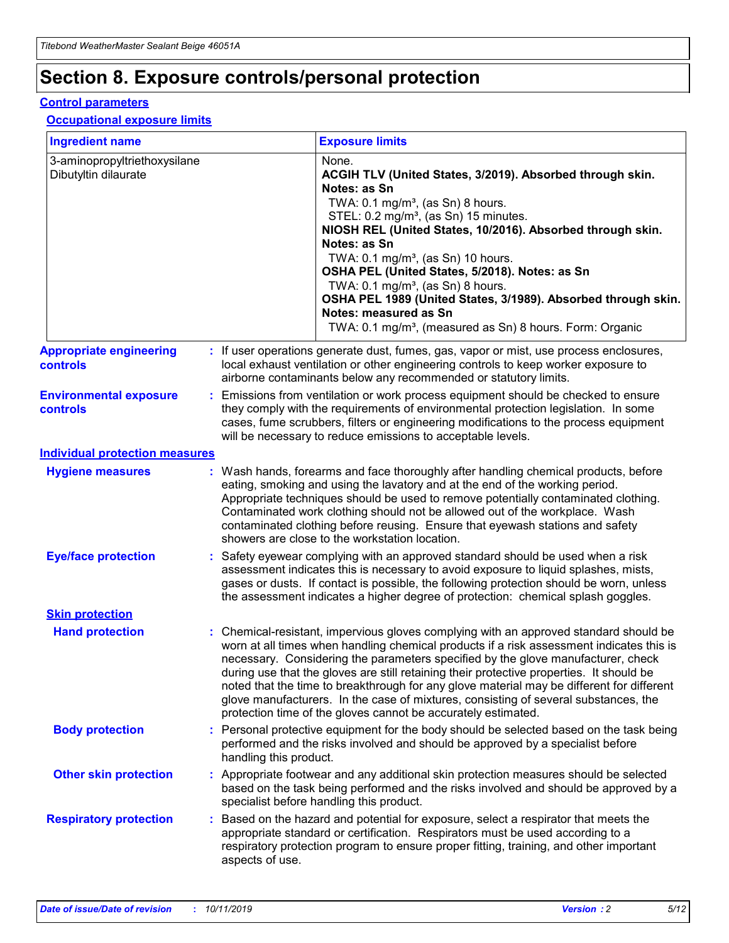# **Section 8. Exposure controls/personal protection**

#### **Control parameters**

### **Occupational exposure limits**

| <b>Ingredient name</b>                               |    |                                          | <b>Exposure limits</b>                                                                                                                                                                                                                                                                                                                                                                                                                                                                                                                                                                                                 |
|------------------------------------------------------|----|------------------------------------------|------------------------------------------------------------------------------------------------------------------------------------------------------------------------------------------------------------------------------------------------------------------------------------------------------------------------------------------------------------------------------------------------------------------------------------------------------------------------------------------------------------------------------------------------------------------------------------------------------------------------|
| 3-aminopropyltriethoxysilane<br>Dibutyltin dilaurate |    |                                          | None.<br>ACGIH TLV (United States, 3/2019). Absorbed through skin.<br>Notes: as Sn<br>TWA: 0.1 mg/m <sup>3</sup> , (as Sn) 8 hours.<br>STEL: 0.2 mg/m <sup>3</sup> , (as Sn) 15 minutes.<br>NIOSH REL (United States, 10/2016). Absorbed through skin.<br>Notes: as Sn<br>TWA: 0.1 mg/m <sup>3</sup> , (as Sn) 10 hours.<br>OSHA PEL (United States, 5/2018). Notes: as Sn<br>TWA: $0.1 \text{ mg/m}^3$ , (as Sn) 8 hours.<br>OSHA PEL 1989 (United States, 3/1989). Absorbed through skin.<br>Notes: measured as Sn<br>TWA: 0.1 mg/m <sup>3</sup> , (measured as Sn) 8 hours. Form: Organic                           |
| <b>Appropriate engineering</b><br>controls           |    |                                          | : If user operations generate dust, fumes, gas, vapor or mist, use process enclosures,<br>local exhaust ventilation or other engineering controls to keep worker exposure to<br>airborne contaminants below any recommended or statutory limits.                                                                                                                                                                                                                                                                                                                                                                       |
| <b>Environmental exposure</b><br><b>controls</b>     |    |                                          | Emissions from ventilation or work process equipment should be checked to ensure<br>they comply with the requirements of environmental protection legislation. In some<br>cases, fume scrubbers, filters or engineering modifications to the process equipment<br>will be necessary to reduce emissions to acceptable levels.                                                                                                                                                                                                                                                                                          |
| <b>Individual protection measures</b>                |    |                                          |                                                                                                                                                                                                                                                                                                                                                                                                                                                                                                                                                                                                                        |
| <b>Hygiene measures</b>                              |    |                                          | : Wash hands, forearms and face thoroughly after handling chemical products, before<br>eating, smoking and using the lavatory and at the end of the working period.<br>Appropriate techniques should be used to remove potentially contaminated clothing.<br>Contaminated work clothing should not be allowed out of the workplace. Wash<br>contaminated clothing before reusing. Ensure that eyewash stations and safety<br>showers are close to the workstation location.                                                                                                                                            |
| <b>Eye/face protection</b>                           |    |                                          | : Safety eyewear complying with an approved standard should be used when a risk<br>assessment indicates this is necessary to avoid exposure to liquid splashes, mists,<br>gases or dusts. If contact is possible, the following protection should be worn, unless<br>the assessment indicates a higher degree of protection: chemical splash goggles.                                                                                                                                                                                                                                                                  |
| <b>Skin protection</b>                               |    |                                          |                                                                                                                                                                                                                                                                                                                                                                                                                                                                                                                                                                                                                        |
| <b>Hand protection</b>                               |    |                                          | : Chemical-resistant, impervious gloves complying with an approved standard should be<br>worn at all times when handling chemical products if a risk assessment indicates this is<br>necessary. Considering the parameters specified by the glove manufacturer, check<br>during use that the gloves are still retaining their protective properties. It should be<br>noted that the time to breakthrough for any glove material may be different for different<br>glove manufacturers. In the case of mixtures, consisting of several substances, the<br>protection time of the gloves cannot be accurately estimated. |
| <b>Body protection</b>                               |    | handling this product.                   | Personal protective equipment for the body should be selected based on the task being<br>performed and the risks involved and should be approved by a specialist before                                                                                                                                                                                                                                                                                                                                                                                                                                                |
| <b>Other skin protection</b>                         |    | specialist before handling this product. | : Appropriate footwear and any additional skin protection measures should be selected<br>based on the task being performed and the risks involved and should be approved by a                                                                                                                                                                                                                                                                                                                                                                                                                                          |
| <b>Respiratory protection</b>                        | ÷. | aspects of use.                          | Based on the hazard and potential for exposure, select a respirator that meets the<br>appropriate standard or certification. Respirators must be used according to a<br>respiratory protection program to ensure proper fitting, training, and other important                                                                                                                                                                                                                                                                                                                                                         |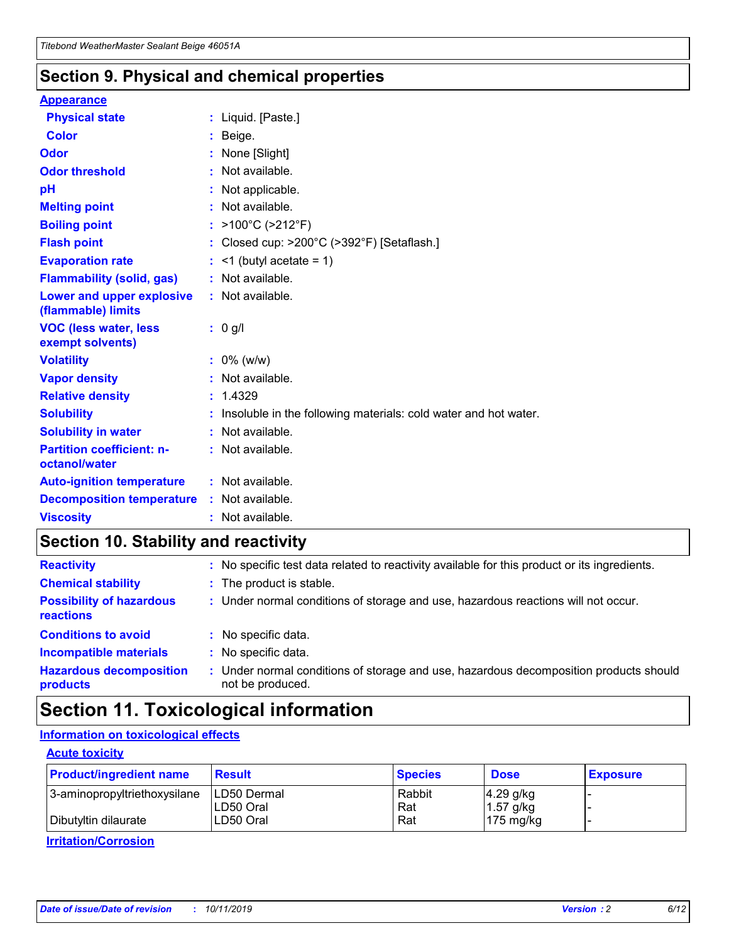## **Section 9. Physical and chemical properties**

#### **Appearance**

| <b>Physical state</b>                             | : Liquid. [Paste.]                                              |
|---------------------------------------------------|-----------------------------------------------------------------|
| Color                                             | Beige.                                                          |
| Odor                                              | None [Slight]                                                   |
| <b>Odor threshold</b>                             | : Not available.                                                |
| рH                                                | : Not applicable.                                               |
| <b>Melting point</b>                              | : Not available.                                                |
| <b>Boiling point</b>                              | : >100°C (>212°F)                                               |
| <b>Flash point</b>                                | : Closed cup: $>200^{\circ}$ C ( $>392^{\circ}$ F) [Setaflash.] |
| <b>Evaporation rate</b>                           | $:$ <1 (butyl acetate = 1)                                      |
| <b>Flammability (solid, gas)</b>                  | : Not available.                                                |
| Lower and upper explosive<br>(flammable) limits   | : Not available.                                                |
| <b>VOC (less water, less</b><br>exempt solvents)  | : 0 g/l                                                         |
| <b>Volatility</b>                                 | $: 0\%$ (w/w)                                                   |
| <b>Vapor density</b>                              | : Not available.                                                |
| <b>Relative density</b>                           | : 1.4329                                                        |
| <b>Solubility</b>                                 | Insoluble in the following materials: cold water and hot water. |
| <b>Solubility in water</b>                        | : Not available.                                                |
| <b>Partition coefficient: n-</b><br>octanol/water | $:$ Not available.                                              |
| <b>Auto-ignition temperature</b>                  | : Not available.                                                |
|                                                   |                                                                 |
| <b>Decomposition temperature</b>                  | : Not available.                                                |

# **Section 10. Stability and reactivity**

| <b>Reactivity</b>                            |    | : No specific test data related to reactivity available for this product or its ingredients.            |
|----------------------------------------------|----|---------------------------------------------------------------------------------------------------------|
| <b>Chemical stability</b>                    |    | : The product is stable.                                                                                |
| <b>Possibility of hazardous</b><br>reactions |    | : Under normal conditions of storage and use, hazardous reactions will not occur.                       |
| <b>Conditions to avoid</b>                   |    | : No specific data.                                                                                     |
| <b>Incompatible materials</b>                | ٠. | No specific data.                                                                                       |
| <b>Hazardous decomposition</b><br>products   | ÷. | Under normal conditions of storage and use, hazardous decomposition products should<br>not be produced. |

# **Section 11. Toxicological information**

### **Information on toxicological effects**

#### **Acute toxicity**

| <b>Product/ingredient name</b> | <b>Result</b> | <b>Species</b> | <b>Dose</b>         | <b>Exposure</b> |
|--------------------------------|---------------|----------------|---------------------|-----------------|
| 3-aminopropyltriethoxysilane   | LD50 Dermal   | Rabbit         | $4.29$ g/kg         |                 |
|                                | ILD50 Oral    | Rat            | 1.57 g/kg           |                 |
| Dibutyltin dilaurate           | LD50 Oral     | Rat            | $175 \text{ mg/kg}$ |                 |

**Irritation/Corrosion**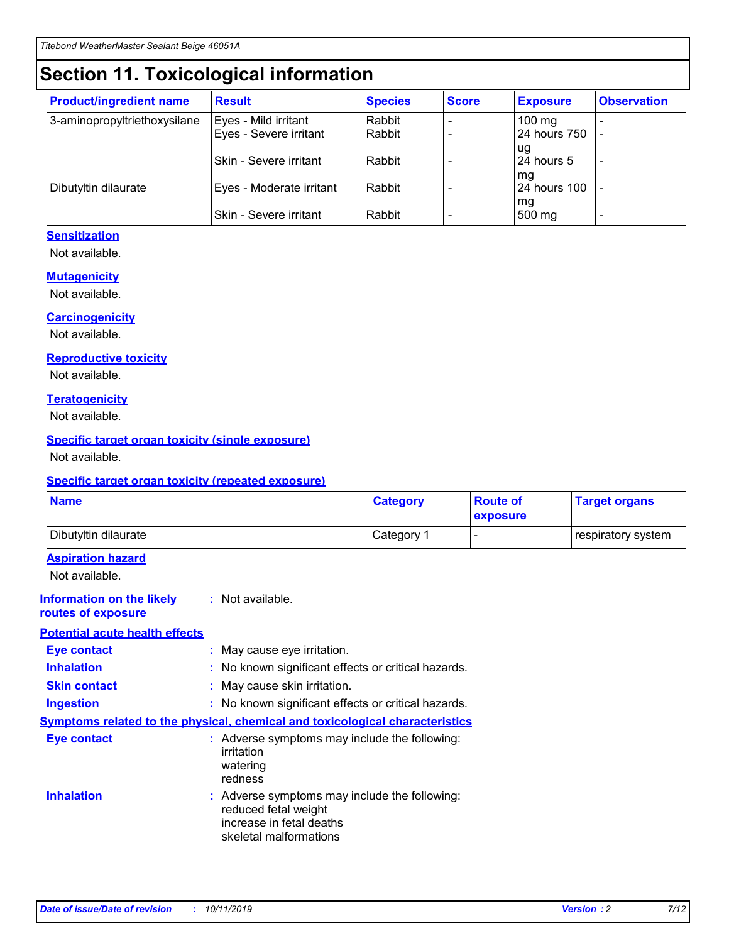# **Section 11. Toxicological information**

| <b>Product/ingredient name</b> | <b>Result</b>            | <b>Species</b> | <b>Score</b> | <b>Exposure</b>           | <b>Observation</b> |
|--------------------------------|--------------------------|----------------|--------------|---------------------------|--------------------|
| 3-aminopropyltriethoxysilane   | Eyes - Mild irritant     | Rabbit         |              | $100$ mg                  |                    |
|                                | Eyes - Severe irritant   | Rabbit         |              | 24 hours 750              |                    |
|                                |                          |                |              | ug                        |                    |
|                                | Skin - Severe irritant   | Rabbit         |              | 24 hours 5                | -                  |
| Dibutyltin dilaurate           | Eyes - Moderate irritant | Rabbit         |              | mg<br><b>24 hours 100</b> |                    |
|                                |                          |                |              | mg                        |                    |
|                                | Skin - Severe irritant   | Rabbit         |              | 500 mg                    | -                  |

### **Sensitization**

Not available.

#### **Mutagenicity**

Not available.

#### **Carcinogenicity**

Not available.

#### **Reproductive toxicity**

Not available.

#### **Teratogenicity**

Not available.

#### **Specific target organ toxicity (single exposure)**

Not available.

#### **Specific target organ toxicity (repeated exposure)**

| <b>Name</b>                                                                  |                                                                                                                             | <b>Category</b> | <b>Route of</b><br>exposure  | <b>Target organs</b> |
|------------------------------------------------------------------------------|-----------------------------------------------------------------------------------------------------------------------------|-----------------|------------------------------|----------------------|
| Dibutyltin dilaurate                                                         |                                                                                                                             | Category 1      | $\qquad \qquad \blacksquare$ | respiratory system   |
| <b>Aspiration hazard</b><br>Not available.                                   |                                                                                                                             |                 |                              |                      |
| <b>Information on the likely</b><br>routes of exposure                       | : Not available.                                                                                                            |                 |                              |                      |
| <b>Potential acute health effects</b>                                        |                                                                                                                             |                 |                              |                      |
| <b>Eye contact</b>                                                           | : May cause eye irritation.                                                                                                 |                 |                              |                      |
| <b>Inhalation</b>                                                            | : No known significant effects or critical hazards.                                                                         |                 |                              |                      |
| <b>Skin contact</b>                                                          | : May cause skin irritation.                                                                                                |                 |                              |                      |
| <b>Ingestion</b>                                                             | : No known significant effects or critical hazards.                                                                         |                 |                              |                      |
| Symptoms related to the physical, chemical and toxicological characteristics |                                                                                                                             |                 |                              |                      |
| <b>Eye contact</b>                                                           | : Adverse symptoms may include the following:<br>irritation<br>watering<br>redness                                          |                 |                              |                      |
| <b>Inhalation</b>                                                            | : Adverse symptoms may include the following:<br>reduced fetal weight<br>increase in fetal deaths<br>skeletal malformations |                 |                              |                      |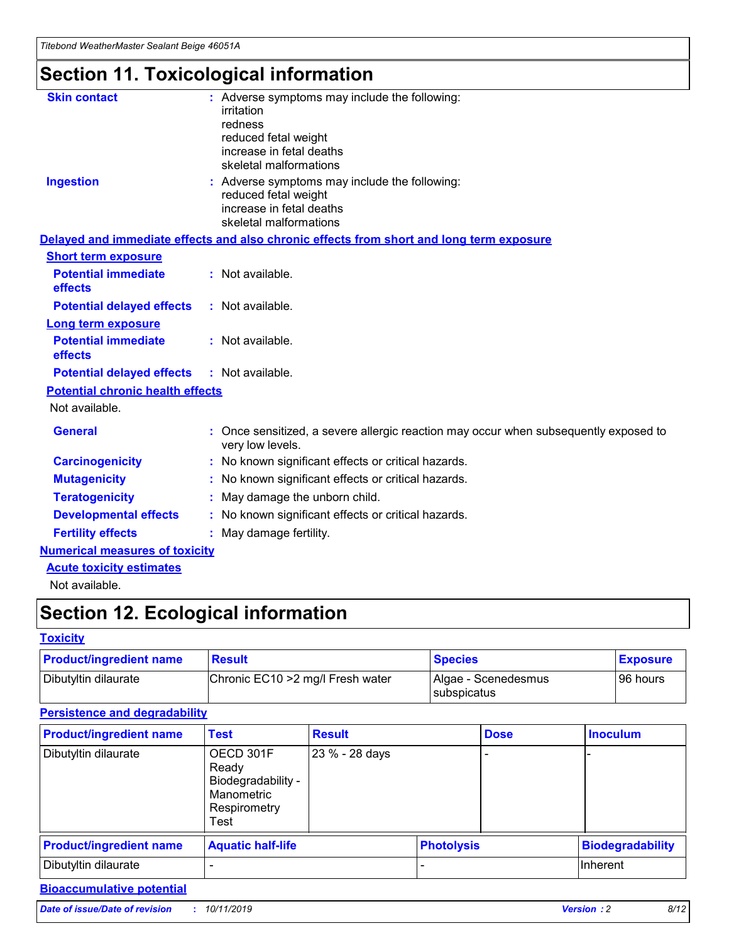# **Section 11. Toxicological information**

| <b>Skin contact</b>                     | : Adverse symptoms may include the following:                                                            |
|-----------------------------------------|----------------------------------------------------------------------------------------------------------|
|                                         | irritation                                                                                               |
|                                         | redness                                                                                                  |
|                                         | reduced fetal weight                                                                                     |
|                                         | increase in fetal deaths                                                                                 |
|                                         | skeletal malformations                                                                                   |
| <b>Ingestion</b>                        | : Adverse symptoms may include the following:                                                            |
|                                         | reduced fetal weight                                                                                     |
|                                         | increase in fetal deaths                                                                                 |
|                                         | skeletal malformations                                                                                   |
|                                         | Delayed and immediate effects and also chronic effects from short and long term exposure                 |
| <b>Short term exposure</b>              |                                                                                                          |
| <b>Potential immediate</b>              | : Not available.                                                                                         |
| effects                                 |                                                                                                          |
| <b>Potential delayed effects</b>        | : Not available.                                                                                         |
| Long term exposure                      |                                                                                                          |
| <b>Potential immediate</b>              | : Not available.                                                                                         |
| effects                                 |                                                                                                          |
| <b>Potential delayed effects</b>        | : Not available.                                                                                         |
| <b>Potential chronic health effects</b> |                                                                                                          |
| Not available.                          |                                                                                                          |
| <b>General</b>                          | : Once sensitized, a severe allergic reaction may occur when subsequently exposed to<br>very low levels. |
| <b>Carcinogenicity</b>                  | : No known significant effects or critical hazards.                                                      |
| <b>Mutagenicity</b>                     | : No known significant effects or critical hazards.                                                      |
| <b>Teratogenicity</b>                   | May damage the unborn child.                                                                             |
| <b>Developmental effects</b>            | : No known significant effects or critical hazards.                                                      |
| <b>Fertility effects</b>                | May damage fertility.                                                                                    |
| <b>Numerical measures of toxicity</b>   |                                                                                                          |
| <b>Acute toxicity estimates</b>         |                                                                                                          |
| الملحلة والمستحقق فالمرابط              |                                                                                                          |

Not available.

# **Section 12. Ecological information**

#### **Toxicity**

| <b>Product/ingredient name</b> | <b>Result</b>                     | <b>Species</b>                       | <b>Exposure</b> |
|--------------------------------|-----------------------------------|--------------------------------------|-----------------|
| Dibutyltin dilaurate           | Chronic EC10 > 2 mg/l Fresh water | Algae - Scenedesmus<br>I subspicatus | l 96 hours i    |

### **Persistence and degradability**

| <b>Product/ingredient name</b> | <b>Test</b>                                                                    | <b>Result</b>  |                   | <b>Dose</b> | <b>Inoculum</b>         |
|--------------------------------|--------------------------------------------------------------------------------|----------------|-------------------|-------------|-------------------------|
| Dibutyltin dilaurate           | OECD 301F<br>Ready<br>Biodegradability -<br>Manometric<br>Respirometry<br>Test | 23 % - 28 days |                   |             |                         |
| <b>Product/ingredient name</b> | <b>Aquatic half-life</b>                                                       |                | <b>Photolysis</b> |             | <b>Biodegradability</b> |
| Dibutyltin dilaurate           |                                                                                |                |                   |             | Inherent                |

### **Bioaccumulative potential**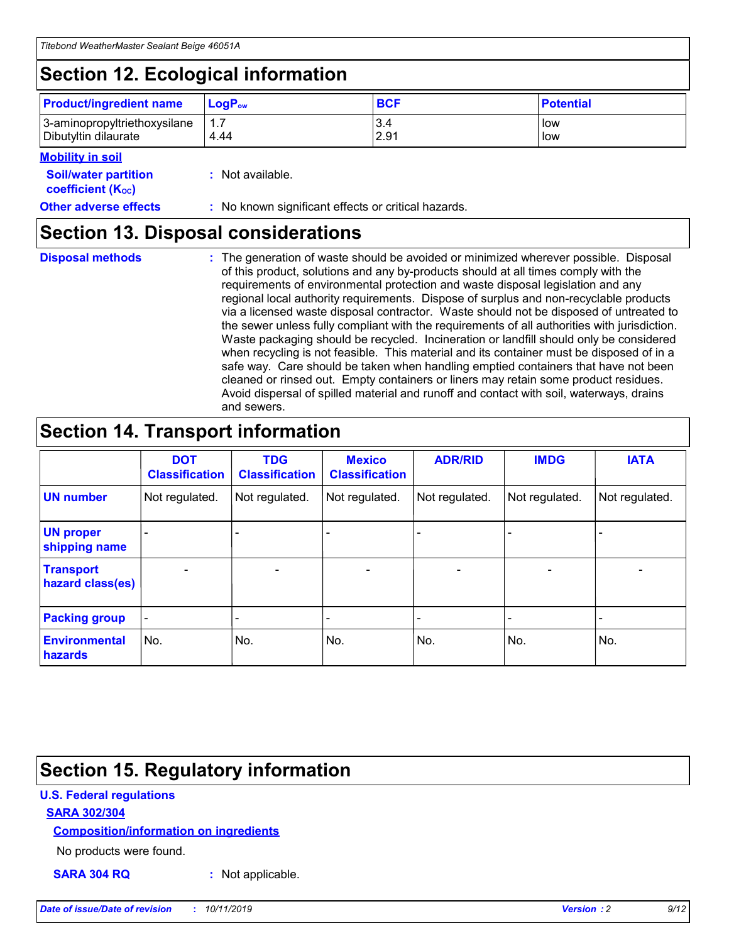# **Section 12. Ecological information**

| <b>Product/ingredient name</b> | $LoaPow$ | <b>BCF</b> | <b>Potential</b> |
|--------------------------------|----------|------------|------------------|
| 3-aminopropyltriethoxysilane   | 1.7      | 3.4        | low              |
| Dibutyltin dilaurate           | 4.44     | 2.91       | low              |

#### **Mobility in soil**

| <b>Soil/water partition</b><br>coefficient (K <sub>oc</sub> ) | : Not available.                                    |
|---------------------------------------------------------------|-----------------------------------------------------|
| <b>Other adverse effects</b>                                  | : No known significant effects or critical hazards. |

## **Section 13. Disposal considerations**

**Disposal methods :**

The generation of waste should be avoided or minimized wherever possible. Disposal of this product, solutions and any by-products should at all times comply with the requirements of environmental protection and waste disposal legislation and any regional local authority requirements. Dispose of surplus and non-recyclable products via a licensed waste disposal contractor. Waste should not be disposed of untreated to the sewer unless fully compliant with the requirements of all authorities with jurisdiction. Waste packaging should be recycled. Incineration or landfill should only be considered when recycling is not feasible. This material and its container must be disposed of in a safe way. Care should be taken when handling emptied containers that have not been cleaned or rinsed out. Empty containers or liners may retain some product residues. Avoid dispersal of spilled material and runoff and contact with soil, waterways, drains and sewers.

# **Section 14. Transport information**

|                                      | <b>DOT</b><br><b>Classification</b> | <b>TDG</b><br><b>Classification</b> | <b>Mexico</b><br><b>Classification</b> | <b>ADR/RID</b>               | <b>IMDG</b>    | <b>IATA</b>    |
|--------------------------------------|-------------------------------------|-------------------------------------|----------------------------------------|------------------------------|----------------|----------------|
| <b>UN number</b>                     | Not regulated.                      | Not regulated.                      | Not regulated.                         | Not regulated.               | Not regulated. | Not regulated. |
| <b>UN proper</b><br>shipping name    |                                     |                                     |                                        |                              |                |                |
| <b>Transport</b><br>hazard class(es) | $\blacksquare$                      | $\overline{\phantom{0}}$            | $\overline{\phantom{a}}$               | $\qquad \qquad \blacksquare$ | $\blacksquare$ | $\blacksquare$ |
| <b>Packing group</b>                 | $\overline{\phantom{a}}$            | -                                   |                                        | -                            |                | -              |
| <b>Environmental</b><br>hazards      | No.                                 | No.                                 | No.                                    | No.                          | No.            | No.            |

# **Section 15. Regulatory information**

### **U.S. Federal regulations**

#### **SARA 302/304**

#### **Composition/information on ingredients**

No products were found.

**SARA 304 RQ :** Not applicable.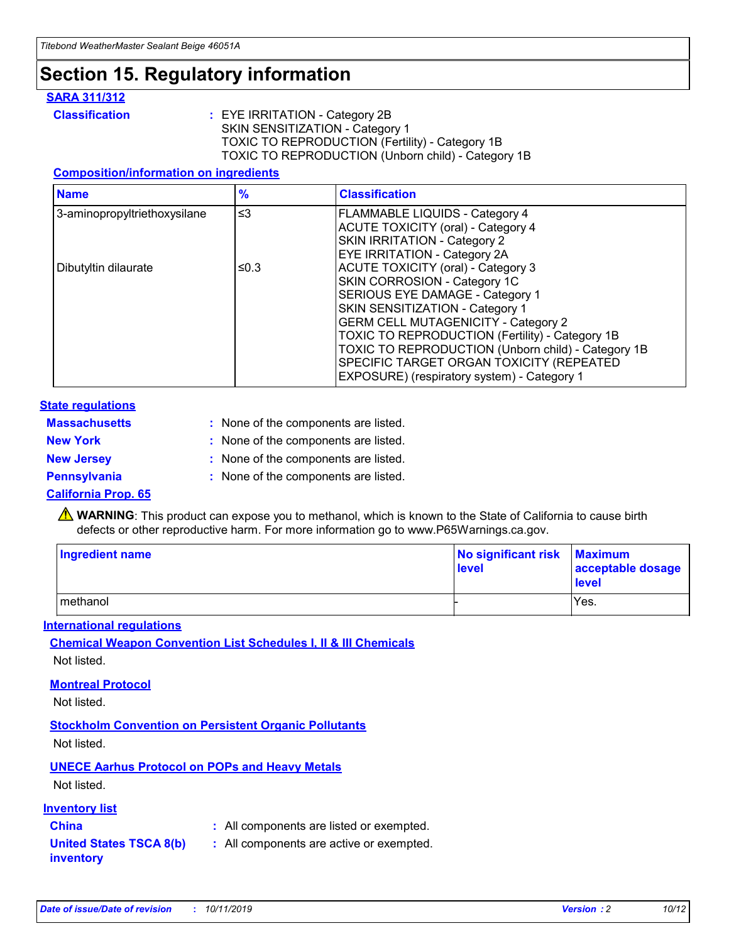# **Section 15. Regulatory information**

#### **SARA 311/312**

**Classification :** EYE IRRITATION - Category 2B SKIN SENSITIZATION - Category 1 TOXIC TO REPRODUCTION (Fertility) - Category 1B TOXIC TO REPRODUCTION (Unborn child) - Category 1B

#### **Composition/information on ingredients**

| <b>Name</b>                  | $\frac{9}{6}$ | <b>Classification</b>                                                                                            |
|------------------------------|---------------|------------------------------------------------------------------------------------------------------------------|
| 3-aminopropyltriethoxysilane | $\leq$ 3      | <b>FLAMMABLE LIQUIDS - Category 4</b><br><b>ACUTE TOXICITY (oral) - Category 4</b>                               |
|                              |               | SKIN IRRITATION - Category 2<br>EYE IRRITATION - Category 2A                                                     |
| Dibutyltin dilaurate         | ≤0.3          | ACUTE TOXICITY (oral) - Category 3<br>SKIN CORROSION - Category 1C                                               |
|                              |               | SERIOUS EYE DAMAGE - Category 1<br>SKIN SENSITIZATION - Category 1<br><b>GERM CELL MUTAGENICITY - Category 2</b> |
|                              |               | TOXIC TO REPRODUCTION (Fertility) - Category 1B<br>TOXIC TO REPRODUCTION (Unborn child) - Category 1B            |
|                              |               | SPECIFIC TARGET ORGAN TOXICITY (REPEATED<br>EXPOSURE) (respiratory system) - Category 1                          |

#### **State regulations**

| <b>Massachusetts</b> | : None of the components are listed. |
|----------------------|--------------------------------------|
| <b>New York</b>      | : None of the components are listed. |
| <b>New Jersey</b>    | : None of the components are listed. |
| <b>Pennsylvania</b>  | : None of the components are listed. |

#### **California Prop. 65**

**A** WARNING: This product can expose you to methanol, which is known to the State of California to cause birth defects or other reproductive harm. For more information go to www.P65Warnings.ca.gov.

| <b>Ingredient name</b> | No significant risk Maximum<br>level | acceptable dosage<br>level |
|------------------------|--------------------------------------|----------------------------|
| methanol               |                                      | Yes.                       |

#### **International regulations**

**Chemical Weapon Convention List Schedules I, II & III Chemicals** Not listed.

#### **Montreal Protocol**

Not listed.

#### **Stockholm Convention on Persistent Organic Pollutants**

Not listed.

### **UNECE Aarhus Protocol on POPs and Heavy Metals**

Not listed.

#### **Inventory list**

## **China :** All components are listed or exempted.

#### **United States TSCA 8(b) inventory :** All components are active or exempted.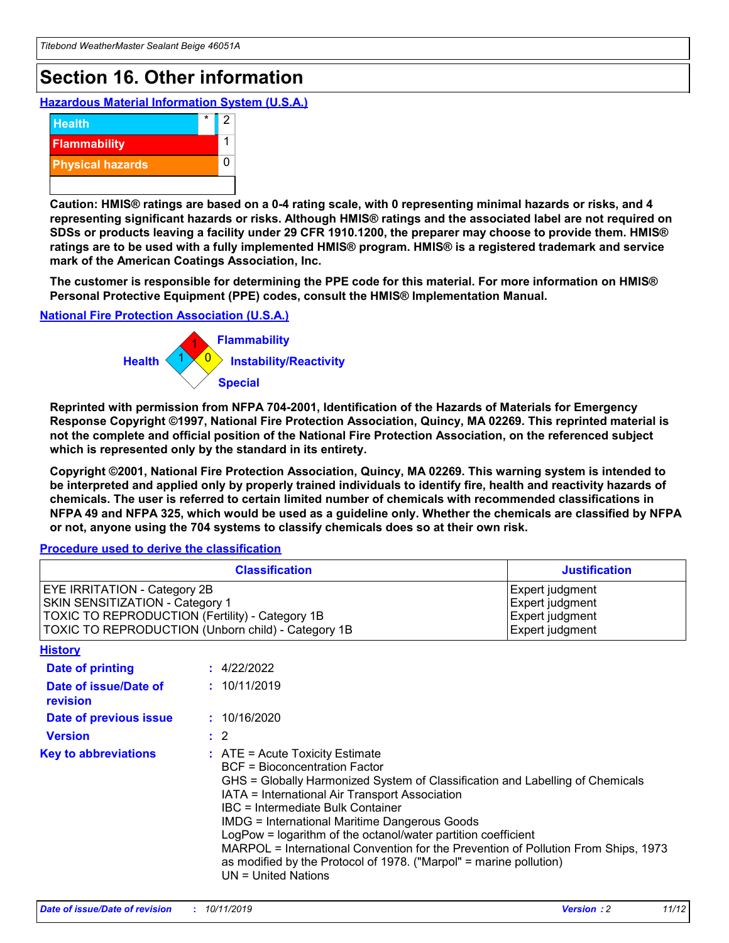# **Section 16. Other information**

**Hazardous Material Information System (U.S.A.)**



**Caution: HMIS® ratings are based on a 0-4 rating scale, with 0 representing minimal hazards or risks, and 4 representing significant hazards or risks. Although HMIS® ratings and the associated label are not required on SDSs or products leaving a facility under 29 CFR 1910.1200, the preparer may choose to provide them. HMIS® ratings are to be used with a fully implemented HMIS® program. HMIS® is a registered trademark and service mark of the American Coatings Association, Inc.**

**The customer is responsible for determining the PPE code for this material. For more information on HMIS® Personal Protective Equipment (PPE) codes, consult the HMIS® Implementation Manual.**

#### **National Fire Protection Association (U.S.A.)**



**Reprinted with permission from NFPA 704-2001, Identification of the Hazards of Materials for Emergency Response Copyright ©1997, National Fire Protection Association, Quincy, MA 02269. This reprinted material is not the complete and official position of the National Fire Protection Association, on the referenced subject which is represented only by the standard in its entirety.**

**Copyright ©2001, National Fire Protection Association, Quincy, MA 02269. This warning system is intended to be interpreted and applied only by properly trained individuals to identify fire, health and reactivity hazards of chemicals. The user is referred to certain limited number of chemicals with recommended classifications in NFPA 49 and NFPA 325, which would be used as a guideline only. Whether the chemicals are classified by NFPA or not, anyone using the 704 systems to classify chemicals does so at their own risk.**

**Procedure used to derive the classification**

| <b>Classification</b>                                                                                                                                                           |  |                                                                                                                                                                                                                                                                                                                                                                                                                                                                                                                                                                          | <b>Justification</b>                                                     |  |
|---------------------------------------------------------------------------------------------------------------------------------------------------------------------------------|--|--------------------------------------------------------------------------------------------------------------------------------------------------------------------------------------------------------------------------------------------------------------------------------------------------------------------------------------------------------------------------------------------------------------------------------------------------------------------------------------------------------------------------------------------------------------------------|--------------------------------------------------------------------------|--|
| <b>EYE IRRITATION - Category 2B</b><br>SKIN SENSITIZATION - Category 1<br>TOXIC TO REPRODUCTION (Fertility) - Category 1B<br>TOXIC TO REPRODUCTION (Unborn child) - Category 1B |  |                                                                                                                                                                                                                                                                                                                                                                                                                                                                                                                                                                          | Expert judgment<br>Expert judgment<br>Expert judgment<br>Expert judgment |  |
| <b>History</b>                                                                                                                                                                  |  |                                                                                                                                                                                                                                                                                                                                                                                                                                                                                                                                                                          |                                                                          |  |
| Date of printing                                                                                                                                                                |  | : 4/22/2022                                                                                                                                                                                                                                                                                                                                                                                                                                                                                                                                                              |                                                                          |  |
| Date of issue/Date of<br>revision                                                                                                                                               |  | : 10/11/2019                                                                                                                                                                                                                                                                                                                                                                                                                                                                                                                                                             |                                                                          |  |
| Date of previous issue                                                                                                                                                          |  | : 10/16/2020                                                                                                                                                                                                                                                                                                                                                                                                                                                                                                                                                             |                                                                          |  |
| <b>Version</b>                                                                                                                                                                  |  | $\therefore$ 2                                                                                                                                                                                                                                                                                                                                                                                                                                                                                                                                                           |                                                                          |  |
| <b>Key to abbreviations</b>                                                                                                                                                     |  | $\therefore$ ATE = Acute Toxicity Estimate<br><b>BCF</b> = Bioconcentration Factor<br>GHS = Globally Harmonized System of Classification and Labelling of Chemicals<br>IATA = International Air Transport Association<br>IBC = Intermediate Bulk Container<br><b>IMDG = International Maritime Dangerous Goods</b><br>LogPow = logarithm of the octanol/water partition coefficient<br>MARPOL = International Convention for the Prevention of Pollution From Ships, 1973<br>as modified by the Protocol of 1978. ("Marpol" = marine pollution)<br>$UN = United Nations$ |                                                                          |  |